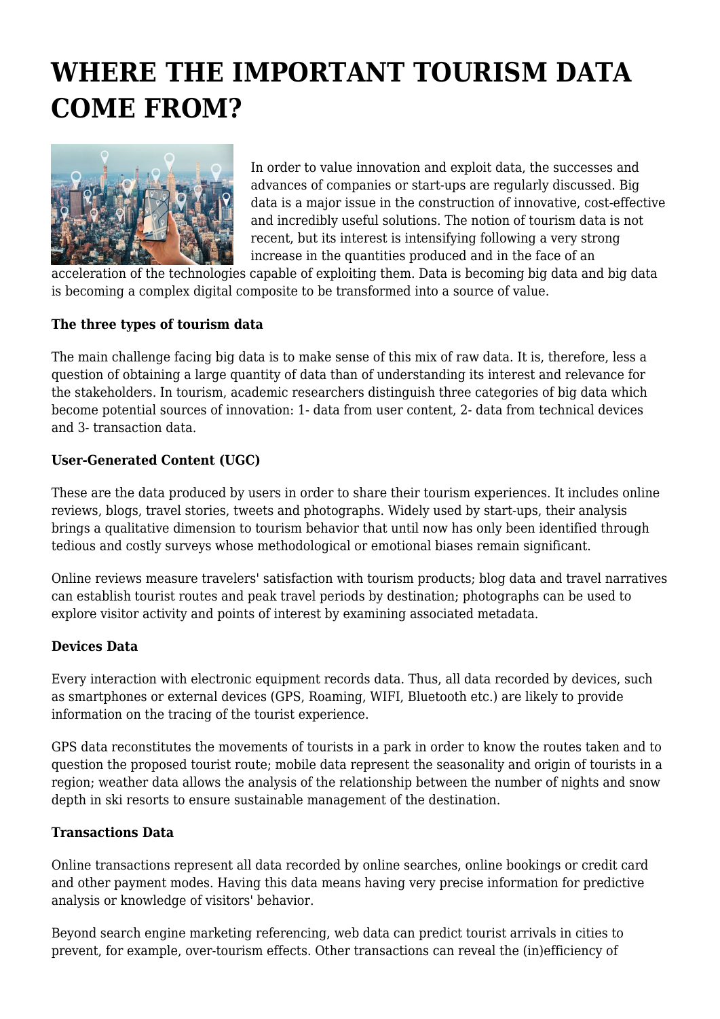# **WHERE THE IMPORTANT TOURISM DATA COME FROM?**



In order to value innovation and exploit data, the successes and advances of companies or start-ups are regularly discussed. Big data is a major issue in the construction of innovative, cost-effective and incredibly useful solutions. The notion of tourism data is not recent, but its interest is intensifying following a very strong increase in the quantities produced and in the face of an

acceleration of the technologies capable of exploiting them. Data is becoming big data and big data is becoming a complex digital composite to be transformed into a source of value.

## **The three types of tourism data**

The main challenge facing big data is to make sense of this mix of raw data. It is, therefore, less a question of obtaining a large quantity of data than of understanding its interest and relevance for the stakeholders. In tourism, academic researchers distinguish three categories of big data which become potential sources of innovation: 1- data from user content, 2- data from technical devices and 3- transaction data.

### **User-Generated Content (UGC)**

These are the data produced by users in order to share their tourism experiences. It includes online reviews, blogs, travel stories, tweets and photographs. Widely used by start-ups, their analysis brings a qualitative dimension to tourism behavior that until now has only been identified through tedious and costly surveys whose methodological or emotional biases remain significant.

Online reviews measure travelers' satisfaction with tourism products; blog data and travel narratives can establish tourist routes and peak travel periods by destination; photographs can be used to explore visitor activity and points of interest by examining associated metadata.

### **Devices Data**

Every interaction with electronic equipment records data. Thus, all data recorded by devices, such as smartphones or external devices (GPS, Roaming, WIFI, Bluetooth etc.) are likely to provide information on the tracing of the tourist experience.

GPS data reconstitutes the movements of tourists in a park in order to know the routes taken and to question the proposed tourist route; mobile data represent the seasonality and origin of tourists in a region; weather data allows the analysis of the relationship between the number of nights and snow depth in ski resorts to ensure sustainable management of the destination.

### **Transactions Data**

Online transactions represent all data recorded by online searches, online bookings or credit card and other payment modes. Having this data means having very precise information for predictive analysis or knowledge of visitors' behavior.

Beyond search engine marketing referencing, web data can predict tourist arrivals in cities to prevent, for example, over-tourism effects. Other transactions can reveal the (in)efficiency of